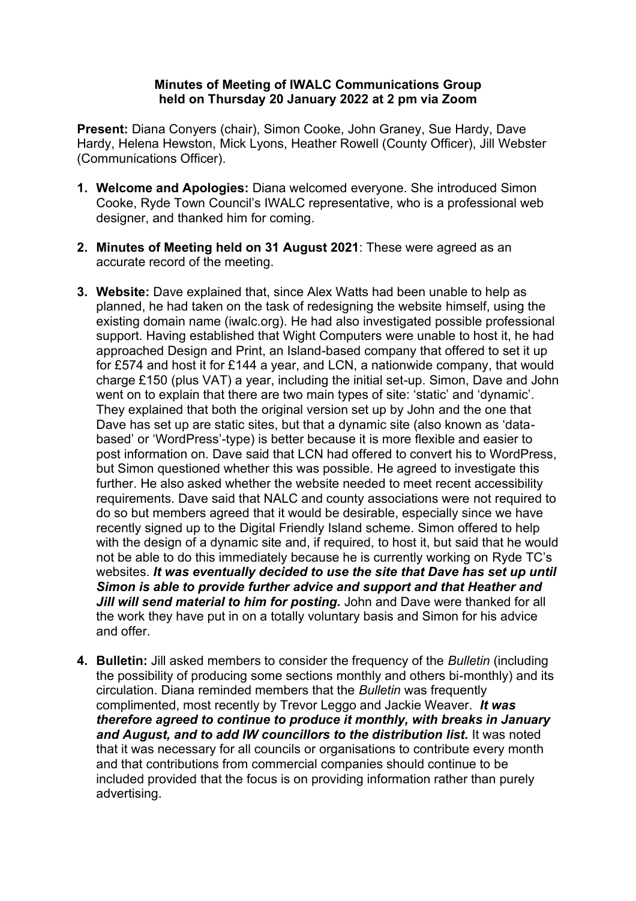## **Minutes of Meeting of IWALC Communications Group held on Thursday 20 January 2022 at 2 pm via Zoom**

**Present:** Diana Conyers (chair), Simon Cooke, John Graney, Sue Hardy, Dave Hardy, Helena Hewston, Mick Lyons, Heather Rowell (County Officer), Jill Webster (Communications Officer).

- **1. Welcome and Apologies:** Diana welcomed everyone. She introduced Simon Cooke, Ryde Town Council's IWALC representative, who is a professional web designer, and thanked him for coming.
- **2. Minutes of Meeting held on 31 August 2021**: These were agreed as an accurate record of the meeting.
- **3. Website:** Dave explained that, since Alex Watts had been unable to help as planned, he had taken on the task of redesigning the website himself, using the existing domain name (iwalc.org). He had also investigated possible professional support. Having established that Wight Computers were unable to host it, he had approached Design and Print, an Island-based company that offered to set it up for £574 and host it for £144 a year, and LCN, a nationwide company, that would charge £150 (plus VAT) a year, including the initial set-up. Simon, Dave and John went on to explain that there are two main types of site: 'static' and 'dynamic'. They explained that both the original version set up by John and the one that Dave has set up are static sites, but that a dynamic site (also known as 'databased' or 'WordPress'-type) is better because it is more flexible and easier to post information on. Dave said that LCN had offered to convert his to WordPress, but Simon questioned whether this was possible. He agreed to investigate this further. He also asked whether the website needed to meet recent accessibility requirements. Dave said that NALC and county associations were not required to do so but members agreed that it would be desirable, especially since we have recently signed up to the Digital Friendly Island scheme. Simon offered to help with the design of a dynamic site and, if required, to host it, but said that he would not be able to do this immediately because he is currently working on Ryde TC's websites. *It was eventually decided to use the site that Dave has set up until Simon is able to provide further advice and support and that Heather and Jill will send material to him for posting.* John and Dave were thanked for all the work they have put in on a totally voluntary basis and Simon for his advice and offer.
- **4. Bulletin:** Jill asked members to consider the frequency of the *Bulletin* (including the possibility of producing some sections monthly and others bi-monthly) and its circulation. Diana reminded members that the *Bulletin* was frequently complimented, most recently by Trevor Leggo and Jackie Weaver. *It was therefore agreed to continue to produce it monthly, with breaks in January*  and August, and to add IW councillors to the distribution list. It was noted that it was necessary for all councils or organisations to contribute every month and that contributions from commercial companies should continue to be included provided that the focus is on providing information rather than purely advertising.